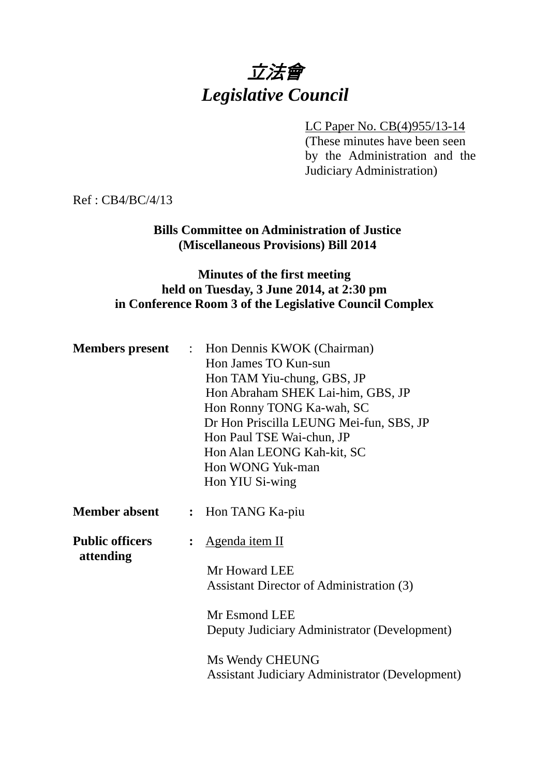# 立法會 *Legislative Council*

### LC Paper No. CB(4)955/13-14

(These minutes have been seen by the Administration and the Judiciary Administration)

Ref : CB4/BC/4/13

## **Bills Committee on Administration of Justice (Miscellaneous Provisions) Bill 2014**

# **Minutes of the first meeting held on Tuesday, 3 June 2014, at 2:30 pm in Conference Room 3 of the Legislative Council Complex**

|                                     | <b>Members present</b> : Hon Dennis KWOK (Chairman)    |
|-------------------------------------|--------------------------------------------------------|
|                                     | Hon James TO Kun-sun                                   |
|                                     | Hon TAM Yiu-chung, GBS, JP                             |
|                                     | Hon Abraham SHEK Lai-him, GBS, JP                      |
|                                     | Hon Ronny TONG Ka-wah, SC                              |
|                                     | Dr Hon Priscilla LEUNG Mei-fun, SBS, JP                |
|                                     | Hon Paul TSE Wai-chun, JP                              |
|                                     | Hon Alan LEONG Kah-kit, SC                             |
|                                     | Hon WONG Yuk-man                                       |
|                                     | Hon YIU Si-wing                                        |
| <b>Member absent</b>                | : Hon TANG Ka-piu                                      |
| <b>Public officers</b><br>attending | : Agenda item II                                       |
|                                     | Mr Howard LEE                                          |
|                                     | Assistant Director of Administration (3)               |
|                                     |                                                        |
|                                     | Mr Esmond LEE                                          |
|                                     | Deputy Judiciary Administrator (Development)           |
|                                     | Ms Wendy CHEUNG                                        |
|                                     | <b>Assistant Judiciary Administrator (Development)</b> |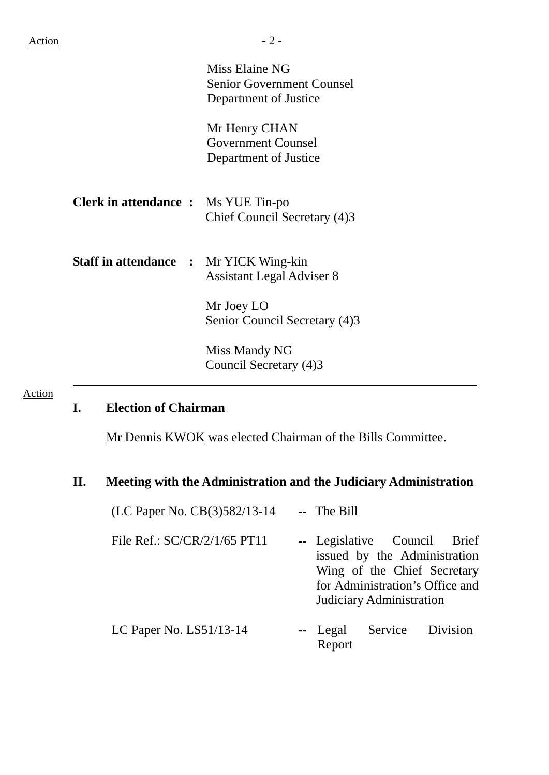Miss Elaine NG Senior Government Counsel Department of Justice

Mr Henry CHAN Government Counsel Department of Justice

**Clerk in attendance :** Ms YUE Tin-po Chief Council Secretary (4)3

**Staff in attendance :** Mr YICK Wing-kin Assistant Legal Adviser 8

> Mr Joey LO Senior Council Secretary (4)3

Miss Mandy NG Council Secretary (4)3

#### Action

## **I. Election of Chairman**

Mr Dennis KWOK was elected Chairman of the Bills Committee.

#### **II. Meeting with the Administration and the Judiciary Administration**

| (LC Paper No. CB(3)582/13-14 | -- The Bill                                                                                                                                                |  |          |  |
|------------------------------|------------------------------------------------------------------------------------------------------------------------------------------------------------|--|----------|--|
| File Ref.: SC/CR/2/1/65 PT11 | -- Legislative Council Brief<br>issued by the Administration<br>Wing of the Chief Secretary<br>for Administration's Office and<br>Judiciary Administration |  |          |  |
| LC Paper No. LS51/13-14      | -- Legal Service<br>Report                                                                                                                                 |  | Division |  |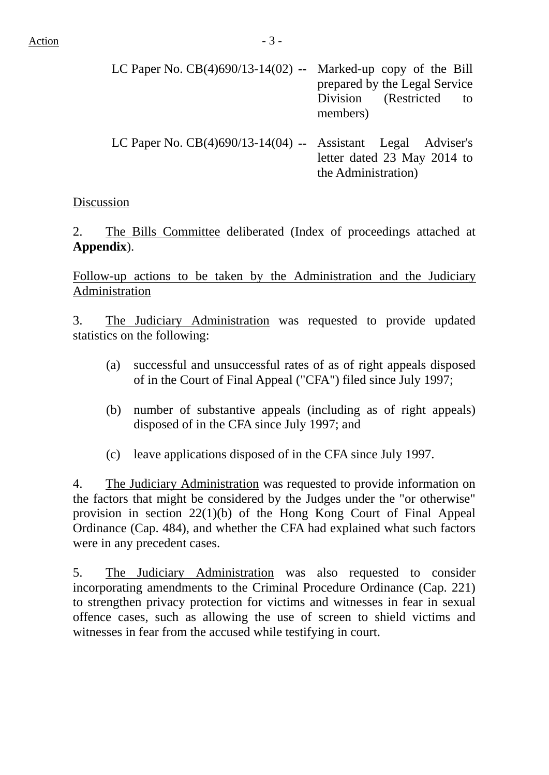| LC Paper No. $CB(4)690/13-14(02)$ -- Marked-up copy of the Bill |                               |  |  |
|-----------------------------------------------------------------|-------------------------------|--|--|
|                                                                 | prepared by the Legal Service |  |  |
|                                                                 | Division (Restricted to       |  |  |
|                                                                 | members)                      |  |  |
|                                                                 |                               |  |  |

LC Paper No. CB(4)690/13-14(04) **--** Assistant Legal Adviser's letter dated 23 May 2014 to the Administration)

# Discussion

2. The Bills Committee deliberated (Index of proceedings attached at **Appendix**).

Follow-up actions to be taken by the Administration and the Judiciary Administration

3. The Judiciary Administration was requested to provide updated statistics on the following:

- (a) successful and unsuccessful rates of as of right appeals disposed of in the Court of Final Appeal ("CFA") filed since July 1997;
- (b) number of substantive appeals (including as of right appeals) disposed of in the CFA since July 1997; and
- (c) leave applications disposed of in the CFA since July 1997.

4. The Judiciary Administration was requested to provide information on the factors that might be considered by the Judges under the "or otherwise" provision in section 22(1)(b) of the Hong Kong Court of Final Appeal Ordinance (Cap. 484), and whether the CFA had explained what such factors were in any precedent cases.

5. The Judiciary Administration was also requested to consider incorporating amendments to the Criminal Procedure Ordinance (Cap. 221) to strengthen privacy protection for victims and witnesses in fear in sexual offence cases, such as allowing the use of screen to shield victims and witnesses in fear from the accused while testifying in court.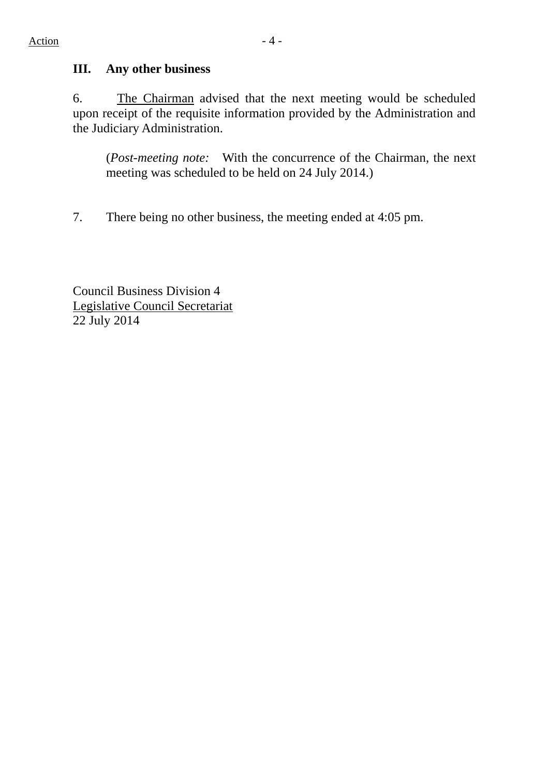# **III. Any other business**

6. The Chairman advised that the next meeting would be scheduled upon receipt of the requisite information provided by the Administration and the Judiciary Administration.

(*Post-meeting note:* With the concurrence of the Chairman, the next meeting was scheduled to be held on 24 July 2014.)

7. There being no other business, the meeting ended at 4:05 pm.

Council Business Division 4 Legislative Council Secretariat 22 July 2014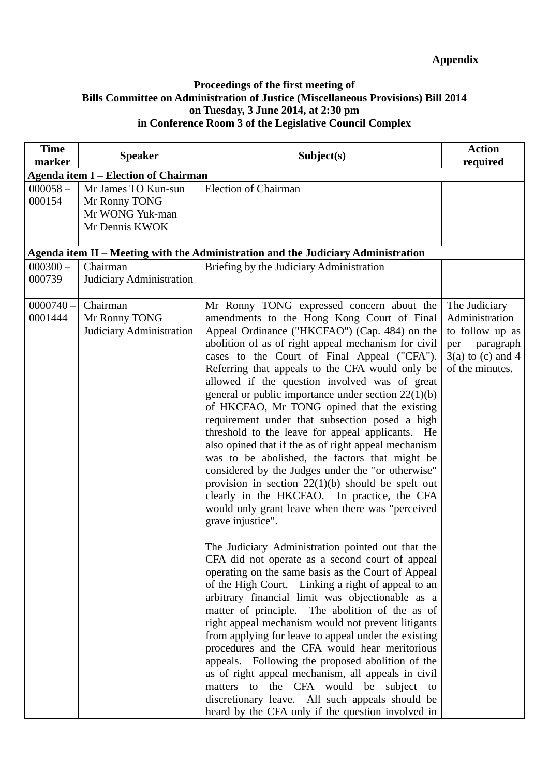#### **Proceedings of the first meeting of Bills Committee on Administration of Justice (Miscellaneous Provisions) Bill 2014 on Tuesday, 3 June 2014, at 2:30 pm in Conference Room 3 of the Legislative Council Complex**

| <b>Time</b><br>marker  | <b>Speaker</b>                                                            | Subject(s)                                                                                                                                                                                                                                                                                                                                                                                                                                                                                                                                                                                                                                                                                                                                                                                                                                                                                                                                                                                                                                                                                                                                                                                                                                                                                                                                                                                                                                                                                                                                                                                                                                                           | <b>Action</b><br>required                                                                                        |  |  |
|------------------------|---------------------------------------------------------------------------|----------------------------------------------------------------------------------------------------------------------------------------------------------------------------------------------------------------------------------------------------------------------------------------------------------------------------------------------------------------------------------------------------------------------------------------------------------------------------------------------------------------------------------------------------------------------------------------------------------------------------------------------------------------------------------------------------------------------------------------------------------------------------------------------------------------------------------------------------------------------------------------------------------------------------------------------------------------------------------------------------------------------------------------------------------------------------------------------------------------------------------------------------------------------------------------------------------------------------------------------------------------------------------------------------------------------------------------------------------------------------------------------------------------------------------------------------------------------------------------------------------------------------------------------------------------------------------------------------------------------------------------------------------------------|------------------------------------------------------------------------------------------------------------------|--|--|
|                        | <b>Agenda item I – Election of Chairman</b>                               |                                                                                                                                                                                                                                                                                                                                                                                                                                                                                                                                                                                                                                                                                                                                                                                                                                                                                                                                                                                                                                                                                                                                                                                                                                                                                                                                                                                                                                                                                                                                                                                                                                                                      |                                                                                                                  |  |  |
| $000058 -$<br>000154   | Mr James TO Kun-sun<br>Mr Ronny TONG<br>Mr WONG Yuk-man<br>Mr Dennis KWOK | <b>Election of Chairman</b>                                                                                                                                                                                                                                                                                                                                                                                                                                                                                                                                                                                                                                                                                                                                                                                                                                                                                                                                                                                                                                                                                                                                                                                                                                                                                                                                                                                                                                                                                                                                                                                                                                          |                                                                                                                  |  |  |
|                        |                                                                           | Agenda item II – Meeting with the Administration and the Judiciary Administration                                                                                                                                                                                                                                                                                                                                                                                                                                                                                                                                                                                                                                                                                                                                                                                                                                                                                                                                                                                                                                                                                                                                                                                                                                                                                                                                                                                                                                                                                                                                                                                    |                                                                                                                  |  |  |
| $000300 -$<br>000739   | Chairman<br>Judiciary Administration                                      | Briefing by the Judiciary Administration                                                                                                                                                                                                                                                                                                                                                                                                                                                                                                                                                                                                                                                                                                                                                                                                                                                                                                                                                                                                                                                                                                                                                                                                                                                                                                                                                                                                                                                                                                                                                                                                                             |                                                                                                                  |  |  |
| $0000740 -$<br>0001444 | Chairman<br>Mr Ronny TONG<br>Judiciary Administration                     | Mr Ronny TONG expressed concern about the<br>amendments to the Hong Kong Court of Final<br>Appeal Ordinance ("HKCFAO") (Cap. 484) on the<br>abolition of as of right appeal mechanism for civil<br>cases to the Court of Final Appeal ("CFA").<br>Referring that appeals to the CFA would only be<br>allowed if the question involved was of great<br>general or public importance under section $22(1)(b)$<br>of HKCFAO, Mr TONG opined that the existing<br>requirement under that subsection posed a high<br>threshold to the leave for appeal applicants. He<br>also opined that if the as of right appeal mechanism<br>was to be abolished, the factors that might be<br>considered by the Judges under the "or otherwise"<br>provision in section $22(1)(b)$ should be spelt out<br>clearly in the HKCFAO. In practice, the CFA<br>would only grant leave when there was "perceived<br>grave injustice".<br>The Judiciary Administration pointed out that the<br>CFA did not operate as a second court of appeal<br>operating on the same basis as the Court of Appeal<br>of the High Court. Linking a right of appeal to an<br>arbitrary financial limit was objectionable as a<br>matter of principle. The abolition of the as of<br>right appeal mechanism would not prevent litigants<br>from applying for leave to appeal under the existing<br>procedures and the CFA would hear meritorious<br>appeals. Following the proposed abolition of the<br>as of right appeal mechanism, all appeals in civil<br>matters to the CFA would be subject to<br>discretionary leave. All such appeals should be<br>heard by the CFA only if the question involved in | The Judiciary<br>Administration<br>to follow up as<br>paragraph<br>per<br>$3(a)$ to (c) and 4<br>of the minutes. |  |  |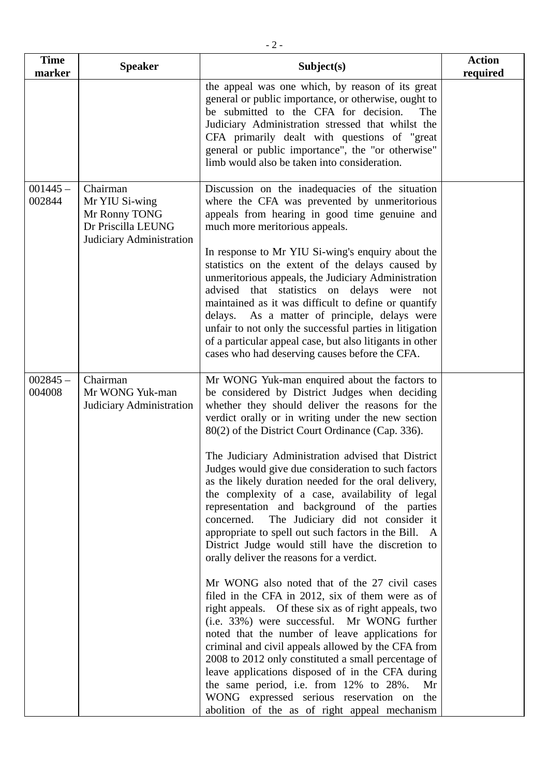| <b>Time</b><br>marker | <b>Speaker</b>                                                                                | Subject(s)                                                                                                                                                                                                                                                                                                                                                                                                                                                                                                                                                                                                                                                                                                                                                                                                                                                                                                                                                                                                                                                                                                                                                                                                                                                                                                                       | <b>Action</b><br>required |
|-----------------------|-----------------------------------------------------------------------------------------------|----------------------------------------------------------------------------------------------------------------------------------------------------------------------------------------------------------------------------------------------------------------------------------------------------------------------------------------------------------------------------------------------------------------------------------------------------------------------------------------------------------------------------------------------------------------------------------------------------------------------------------------------------------------------------------------------------------------------------------------------------------------------------------------------------------------------------------------------------------------------------------------------------------------------------------------------------------------------------------------------------------------------------------------------------------------------------------------------------------------------------------------------------------------------------------------------------------------------------------------------------------------------------------------------------------------------------------|---------------------------|
|                       |                                                                                               | the appeal was one which, by reason of its great<br>general or public importance, or otherwise, ought to<br>be submitted to the CFA for decision.<br>The<br>Judiciary Administration stressed that whilst the<br>CFA primarily dealt with questions of "great"<br>general or public importance", the "or otherwise"<br>limb would also be taken into consideration.                                                                                                                                                                                                                                                                                                                                                                                                                                                                                                                                                                                                                                                                                                                                                                                                                                                                                                                                                              |                           |
| $001445 -$<br>002844  | Chairman<br>Mr YIU Si-wing<br>Mr Ronny TONG<br>Dr Priscilla LEUNG<br>Judiciary Administration | Discussion on the inadequacies of the situation<br>where the CFA was prevented by unmeritorious<br>appeals from hearing in good time genuine and<br>much more meritorious appeals.<br>In response to Mr YIU Si-wing's enquiry about the<br>statistics on the extent of the delays caused by<br>unmeritorious appeals, the Judiciary Administration<br>advised that statistics on delays were<br>not<br>maintained as it was difficult to define or quantify<br>delays. As a matter of principle, delays were<br>unfair to not only the successful parties in litigation<br>of a particular appeal case, but also litigants in other<br>cases who had deserving causes before the CFA.                                                                                                                                                                                                                                                                                                                                                                                                                                                                                                                                                                                                                                            |                           |
| $002845 -$<br>004008  | Chairman<br>Mr WONG Yuk-man<br>Judiciary Administration                                       | Mr WONG Yuk-man enquired about the factors to<br>be considered by District Judges when deciding<br>whether they should deliver the reasons for the<br>verdict orally or in writing under the new section<br>80(2) of the District Court Ordinance (Cap. 336).<br>The Judiciary Administration advised that District<br>Judges would give due consideration to such factors<br>as the likely duration needed for the oral delivery,<br>the complexity of a case, availability of legal<br>representation and background of the parties<br>concerned. The Judiciary did not consider it<br>appropriate to spell out such factors in the Bill.<br>A<br>District Judge would still have the discretion to<br>orally deliver the reasons for a verdict.<br>Mr WONG also noted that of the 27 civil cases<br>filed in the CFA in 2012, six of them were as of<br>right appeals. Of these six as of right appeals, two<br>(i.e. 33%) were successful. Mr WONG further<br>noted that the number of leave applications for<br>criminal and civil appeals allowed by the CFA from<br>2008 to 2012 only constituted a small percentage of<br>leave applications disposed of in the CFA during<br>the same period, i.e. from 12% to 28%.<br>Mr<br>WONG expressed serious reservation on the<br>abolition of the as of right appeal mechanism |                           |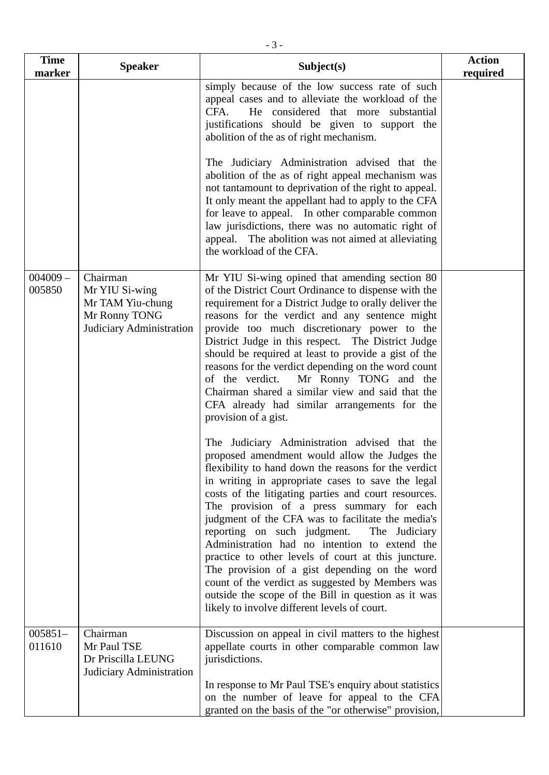| <b>Time</b><br>marker | <b>Speaker</b>                                                                              | Subject(s)                                                                                                                                                                                                                                                                                                                                                                                                                                                                                                                                                                                                                                                                                                                                                                                                                                                                                                                                                                                                                                                                                                                                                                                       | <b>Action</b><br>required |
|-----------------------|---------------------------------------------------------------------------------------------|--------------------------------------------------------------------------------------------------------------------------------------------------------------------------------------------------------------------------------------------------------------------------------------------------------------------------------------------------------------------------------------------------------------------------------------------------------------------------------------------------------------------------------------------------------------------------------------------------------------------------------------------------------------------------------------------------------------------------------------------------------------------------------------------------------------------------------------------------------------------------------------------------------------------------------------------------------------------------------------------------------------------------------------------------------------------------------------------------------------------------------------------------------------------------------------------------|---------------------------|
|                       |                                                                                             | simply because of the low success rate of such<br>appeal cases and to alleviate the workload of the<br>CFA.<br>He considered that more substantial<br>justifications should be given to support the<br>abolition of the as of right mechanism.                                                                                                                                                                                                                                                                                                                                                                                                                                                                                                                                                                                                                                                                                                                                                                                                                                                                                                                                                   |                           |
|                       |                                                                                             | The Judiciary Administration advised that the<br>abolition of the as of right appeal mechanism was<br>not tantamount to deprivation of the right to appeal.<br>It only meant the appellant had to apply to the CFA<br>for leave to appeal. In other comparable common<br>law jurisdictions, there was no automatic right of<br>appeal. The abolition was not aimed at alleviating<br>the workload of the CFA.                                                                                                                                                                                                                                                                                                                                                                                                                                                                                                                                                                                                                                                                                                                                                                                    |                           |
| $004009 -$<br>005850  | Chairman<br>Mr YIU Si-wing<br>Mr TAM Yiu-chung<br>Mr Ronny TONG<br>Judiciary Administration | Mr YIU Si-wing opined that amending section 80<br>of the District Court Ordinance to dispense with the<br>requirement for a District Judge to orally deliver the<br>reasons for the verdict and any sentence might<br>provide too much discretionary power to the<br>District Judge in this respect. The District Judge<br>should be required at least to provide a gist of the<br>reasons for the verdict depending on the word count<br>Mr Ronny TONG and the<br>of the verdict.<br>Chairman shared a similar view and said that the<br>CFA already had similar arrangements for the<br>provision of a gist.<br>The Judiciary Administration advised that the<br>proposed amendment would allow the Judges the<br>flexibility to hand down the reasons for the verdict<br>in writing in appropriate cases to save the legal<br>costs of the litigating parties and court resources.<br>The provision of a press summary for each<br>judgment of the CFA was to facilitate the media's<br>reporting on such judgment.<br>The Judiciary<br>Administration had no intention to extend the<br>practice to other levels of court at this juncture.<br>The provision of a gist depending on the word |                           |
|                       |                                                                                             | count of the verdict as suggested by Members was<br>outside the scope of the Bill in question as it was<br>likely to involve different levels of court.                                                                                                                                                                                                                                                                                                                                                                                                                                                                                                                                                                                                                                                                                                                                                                                                                                                                                                                                                                                                                                          |                           |
| $005851-$<br>011610   | Chairman<br>Mr Paul TSE<br>Dr Priscilla LEUNG<br>Judiciary Administration                   | Discussion on appeal in civil matters to the highest<br>appellate courts in other comparable common law<br>jurisdictions.<br>In response to Mr Paul TSE's enquiry about statistics                                                                                                                                                                                                                                                                                                                                                                                                                                                                                                                                                                                                                                                                                                                                                                                                                                                                                                                                                                                                               |                           |
|                       |                                                                                             | on the number of leave for appeal to the CFA<br>granted on the basis of the "or otherwise" provision,                                                                                                                                                                                                                                                                                                                                                                                                                                                                                                                                                                                                                                                                                                                                                                                                                                                                                                                                                                                                                                                                                            |                           |